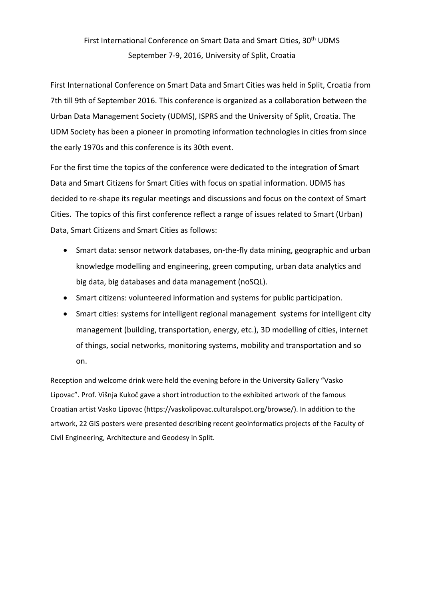## First International Conference on Smart Data and Smart Cities, 30<sup>th</sup> UDMS September 7‐9, 2016, University of Split, Croatia

First International Conference on Smart Data and Smart Cities was held in Split, Croatia from 7th till 9th of September 2016. This conference is organized as a collaboration between the Urban Data Management Society (UDMS), ISPRS and the University of Split, Croatia. The UDM Society has been a pioneer in promoting information technologies in cities from since the early 1970s and this conference is its 30th event.

For the first time the topics of the conference were dedicated to the integration of Smart Data and Smart Citizens for Smart Cities with focus on spatial information. UDMS has decided to re‐shape its regular meetings and discussions and focus on the context of Smart Cities. The topics of this first conference reflect a range of issues related to Smart (Urban) Data, Smart Citizens and Smart Cities as follows:

- Smart data: sensor network databases, on‐the‐fly data mining, geographic and urban knowledge modelling and engineering, green computing, urban data analytics and big data, big databases and data management (noSQL).
- Smart citizens: volunteered information and systems for public participation.
- Smart cities: systems for intelligent regional management systems for intelligent city management (building, transportation, energy, etc.), 3D modelling of cities, internet of things, social networks, monitoring systems, mobility and transportation and so on.

Reception and welcome drink were held the evening before in the University Gallery "Vasko Lipovac". Prof. Višnja Kukoč gave a short introduction to the exhibited artwork of the famous Croatian artist Vasko Lipovac (https://vaskolipovac.culturalspot.org/browse/). In addition to the artwork, 22 GIS posters were presented describing recent geoinformatics projects of the Faculty of Civil Engineering, Architecture and Geodesy in Split.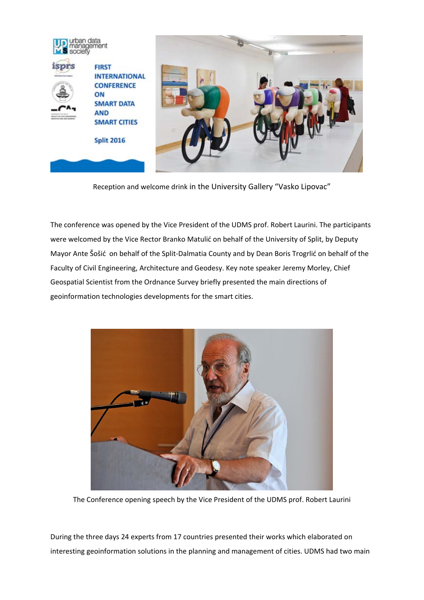

Reception and welcome drink in the University Gallery "Vasko Lipovac"

The conference was opened by the Vice President of the UDMS prof. Robert Laurini. The participants were welcomed by the Vice Rector Branko Matulić on behalf of the University of Split, by Deputy Mayor Ante Šošić on behalf of the Split‐Dalmatia County and by Dean Boris Trogrlić on behalf of the Faculty of Civil Engineering, Architecture and Geodesy. Key note speaker Jeremy Morley, Chief Geospatial Scientist from the Ordnance Survey briefly presented the main directions of geoinformation technologies developments for the smart cities.



The Conference opening speech by the Vice President of the UDMS prof. Robert Laurini

During the three days 24 experts from 17 countries presented their works which elaborated on interesting geoinformation solutions in the planning and management of cities. UDMS had two main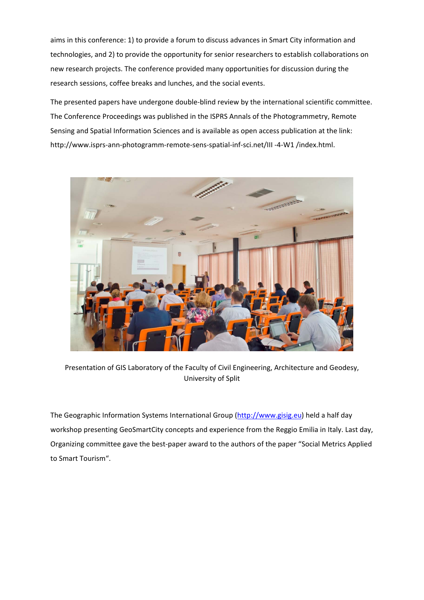aims in this conference: 1) to provide a forum to discuss advances in Smart City information and technologies, and 2) to provide the opportunity for senior researchers to establish collaborations on new research projects. The conference provided many opportunities for discussion during the research sessions, coffee breaks and lunches, and the social events.

The presented papers have undergone double-blind review by the international scientific committee. The Conference Proceedings was published in the ISPRS Annals of the Photogrammetry, Remote Sensing and Spatial Information Sciences and is available as open access publication at the link: http://www.isprs-ann-photogramm-remote-sens-spatial-inf-sci.net/III -4-W1 /index.html.



Presentation of GIS Laboratory of the Faculty of Civil Engineering, Architecture and Geodesy, University of Split

The Geographic Information Systems International Group (http://www.gisig.eu) held a half day workshop presenting GeoSmartCity concepts and experience from the Reggio Emilia in Italy. Last day, Organizing committee gave the best‐paper award to the authors of the paper "Social Metrics Applied to Smart Tourism".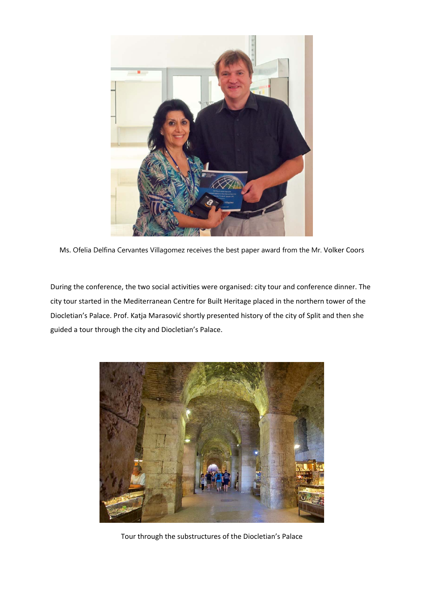

Ms. Ofelia Delfina Cervantes Villagomez receives the best paper award from the Mr. Volker Coors

During the conference, the two social activities were organised: city tour and conference dinner. The city tour started in the Mediterranean Centre for Built Heritage placed in the northern tower of the Diocletian's Palace. Prof. Katja Marasović shortly presented history of the city of Split and then she guided a tour through the city and Diocletian's Palace.



Tour through the substructures of the Diocletian's Palace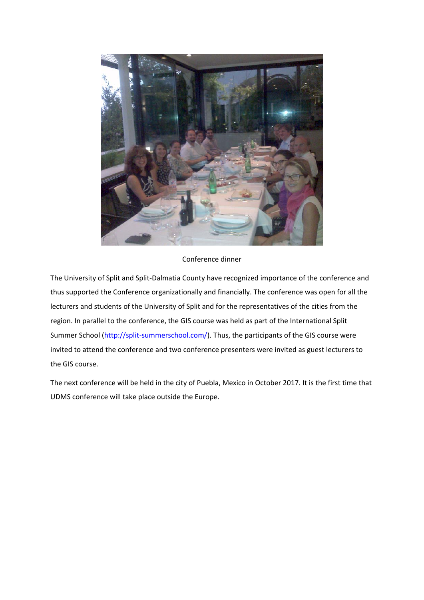

## Conference dinner

The University of Split and Split‐Dalmatia County have recognized importance of the conference and thus supported the Conference organizationally and financially. The conference was open for all the lecturers and students of the University of Split and for the representatives of the cities from the region. In parallel to the conference, the GIS course was held as part of the International Split Summer School (http://split-summerschool.com/). Thus, the participants of the GIS course were invited to attend the conference and two conference presenters were invited as guest lecturers to the GIS course.

The next conference will be held in the city of Puebla, Mexico in October 2017. It is the first time that UDMS conference will take place outside the Europe.